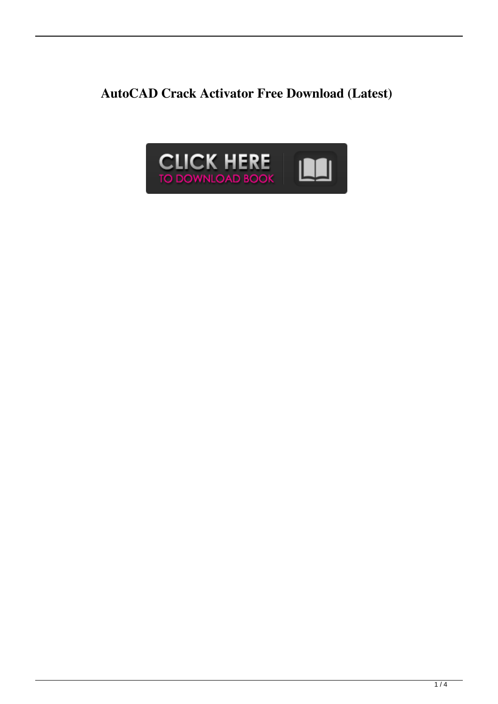**AutoCAD Crack Activator Free Download (Latest)**

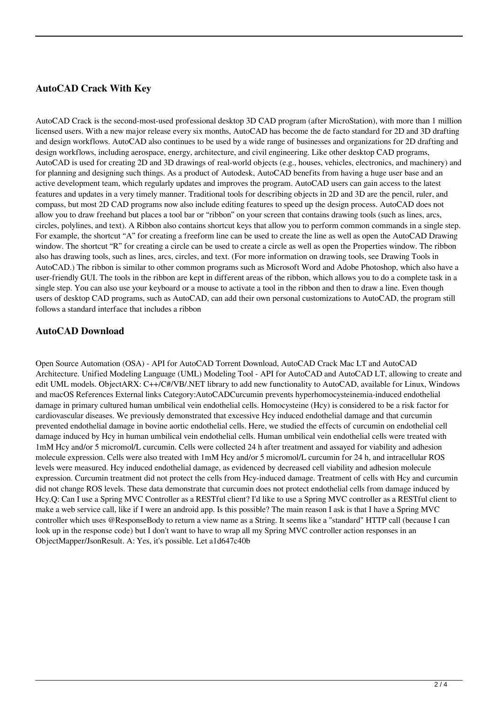## **AutoCAD Crack With Key**

AutoCAD Crack is the second-most-used professional desktop 3D CAD program (after MicroStation), with more than 1 million licensed users. With a new major release every six months, AutoCAD has become the de facto standard for 2D and 3D drafting and design workflows. AutoCAD also continues to be used by a wide range of businesses and organizations for 2D drafting and design workflows, including aerospace, energy, architecture, and civil engineering. Like other desktop CAD programs, AutoCAD is used for creating 2D and 3D drawings of real-world objects (e.g., houses, vehicles, electronics, and machinery) and for planning and designing such things. As a product of Autodesk, AutoCAD benefits from having a huge user base and an active development team, which regularly updates and improves the program. AutoCAD users can gain access to the latest features and updates in a very timely manner. Traditional tools for describing objects in 2D and 3D are the pencil, ruler, and compass, but most 2D CAD programs now also include editing features to speed up the design process. AutoCAD does not allow you to draw freehand but places a tool bar or "ribbon" on your screen that contains drawing tools (such as lines, arcs, circles, polylines, and text). A Ribbon also contains shortcut keys that allow you to perform common commands in a single step. For example, the shortcut "A" for creating a freeform line can be used to create the line as well as open the AutoCAD Drawing window. The shortcut "R" for creating a circle can be used to create a circle as well as open the Properties window. The ribbon also has drawing tools, such as lines, arcs, circles, and text. (For more information on drawing tools, see Drawing Tools in AutoCAD.) The ribbon is similar to other common programs such as Microsoft Word and Adobe Photoshop, which also have a user-friendly GUI. The tools in the ribbon are kept in different areas of the ribbon, which allows you to do a complete task in a single step. You can also use your keyboard or a mouse to activate a tool in the ribbon and then to draw a line. Even though users of desktop CAD programs, such as AutoCAD, can add their own personal customizations to AutoCAD, the program still follows a standard interface that includes a ribbon

### **AutoCAD Download**

Open Source Automation (OSA) - API for AutoCAD Torrent Download, AutoCAD Crack Mac LT and AutoCAD Architecture. Unified Modeling Language (UML) Modeling Tool - API for AutoCAD and AutoCAD LT, allowing to create and edit UML models. ObjectARX: C++/C#/VB/.NET library to add new functionality to AutoCAD, available for Linux, Windows and macOS References External links Category:AutoCADCurcumin prevents hyperhomocysteinemia-induced endothelial damage in primary cultured human umbilical vein endothelial cells. Homocysteine (Hcy) is considered to be a risk factor for cardiovascular diseases. We previously demonstrated that excessive Hcy induced endothelial damage and that curcumin prevented endothelial damage in bovine aortic endothelial cells. Here, we studied the effects of curcumin on endothelial cell damage induced by Hcy in human umbilical vein endothelial cells. Human umbilical vein endothelial cells were treated with 1mM Hcy and/or 5 micromol/L curcumin. Cells were collected 24 h after treatment and assayed for viability and adhesion molecule expression. Cells were also treated with 1mM Hcy and/or 5 micromol/L curcumin for 24 h, and intracellular ROS levels were measured. Hcy induced endothelial damage, as evidenced by decreased cell viability and adhesion molecule expression. Curcumin treatment did not protect the cells from Hcy-induced damage. Treatment of cells with Hcy and curcumin did not change ROS levels. These data demonstrate that curcumin does not protect endothelial cells from damage induced by Hcy.Q: Can I use a Spring MVC Controller as a RESTful client? I'd like to use a Spring MVC controller as a RESTful client to make a web service call, like if I were an android app. Is this possible? The main reason I ask is that I have a Spring MVC controller which uses @ResponseBody to return a view name as a String. It seems like a "standard" HTTP call (because I can look up in the response code) but I don't want to have to wrap all my Spring MVC controller action responses in an ObjectMapper/JsonResult. A: Yes, it's possible. Let a1d647c40b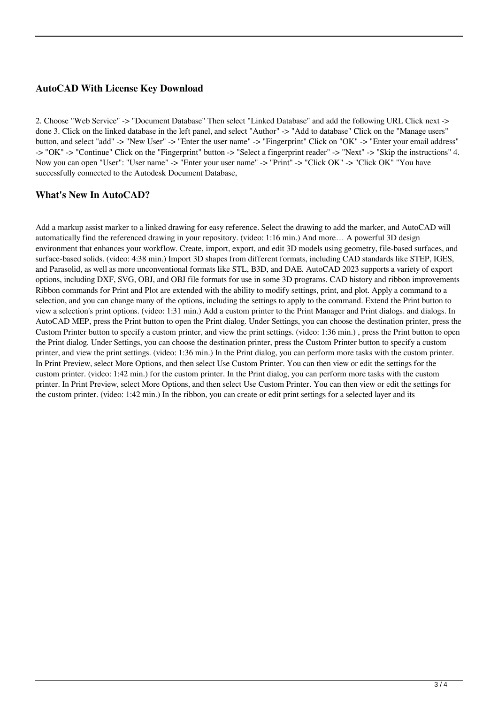### **AutoCAD With License Key Download**

2. Choose "Web Service" -> "Document Database" Then select "Linked Database" and add the following URL Click next -> done 3. Click on the linked database in the left panel, and select "Author" -> "Add to database" Click on the "Manage users" button, and select "add" -> "New User" -> "Enter the user name" -> "Fingerprint" Click on "OK" -> "Enter your email address" -> "OK" -> "Continue" Click on the "Fingerprint" button -> "Select a fingerprint reader" -> "Next" -> "Skip the instructions" 4. Now you can open "User": "User name" -> "Enter your user name" -> "Print" -> "Click OK" -> "Click OK" "You have successfully connected to the Autodesk Document Database,

#### **What's New In AutoCAD?**

Add a markup assist marker to a linked drawing for easy reference. Select the drawing to add the marker, and AutoCAD will automatically find the referenced drawing in your repository. (video: 1:16 min.) And more… A powerful 3D design environment that enhances your workflow. Create, import, export, and edit 3D models using geometry, file-based surfaces, and surface-based solids. (video: 4:38 min.) Import 3D shapes from different formats, including CAD standards like STEP, IGES, and Parasolid, as well as more unconventional formats like STL, B3D, and DAE. AutoCAD 2023 supports a variety of export options, including DXF, SVG, OBJ, and OBJ file formats for use in some 3D programs. CAD history and ribbon improvements Ribbon commands for Print and Plot are extended with the ability to modify settings, print, and plot. Apply a command to a selection, and you can change many of the options, including the settings to apply to the command. Extend the Print button to view a selection's print options. (video: 1:31 min.) Add a custom printer to the Print Manager and Print dialogs. and dialogs. In AutoCAD MEP, press the Print button to open the Print dialog. Under Settings, you can choose the destination printer, press the Custom Printer button to specify a custom printer, and view the print settings. (video: 1:36 min.) , press the Print button to open the Print dialog. Under Settings, you can choose the destination printer, press the Custom Printer button to specify a custom printer, and view the print settings. (video: 1:36 min.) In the Print dialog, you can perform more tasks with the custom printer. In Print Preview, select More Options, and then select Use Custom Printer. You can then view or edit the settings for the custom printer. (video: 1:42 min.) for the custom printer. In the Print dialog, you can perform more tasks with the custom printer. In Print Preview, select More Options, and then select Use Custom Printer. You can then view or edit the settings for the custom printer. (video: 1:42 min.) In the ribbon, you can create or edit print settings for a selected layer and its